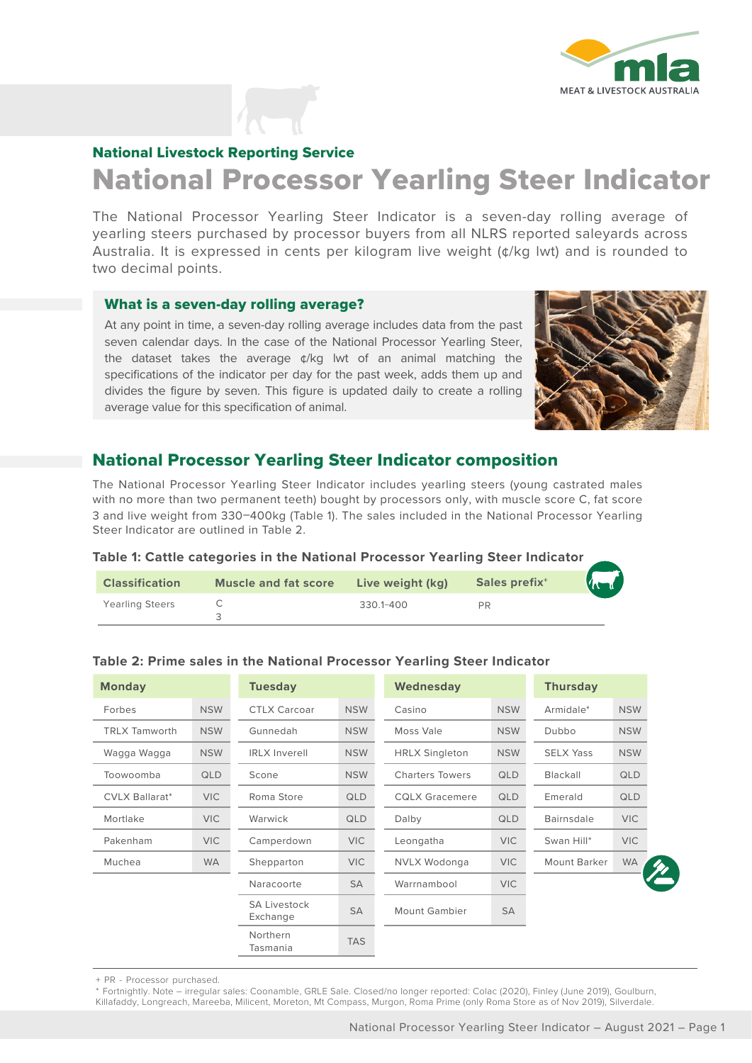

# National Livestock Reporting Service

# National Processor Yearling Steer Indicator

The National Processor Yearling Steer Indicator is a seven-day rolling average of yearling steers purchased by processor buyers from all NLRS reported saleyards across Australia. It is expressed in cents per kilogram live weight  $(\phi / kg)$  lwt) and is rounded to two decimal points.

#### What is a seven-day rolling average?

At any point in time, a seven-day rolling average includes data from the past seven calendar days. In the case of the National Processor Yearling Steer, the dataset takes the average ¢/kg lwt of an animal matching the specifications of the indicator per day for the past week, adds them up and divides the figure by seven. This figure is updated daily to create a rolling average value for this specification of animal.



# National Processor Yearling Steer Indicator composition

The National Processor Yearling Steer Indicator includes yearling steers (young castrated males with no more than two permanent teeth) bought by processors only, with muscle score C, fat score 3 and live weight from 330–400kg (Table 1). The sales included in the National Processor Yearling Steer Indicator are outlined in Table 2.

#### **Table 1: Cattle categories in the National Processor Yearling Steer Indicator**

| <b>Classification</b>  | <b>Muscle and fat score</b> | Live weight (kg) | Sales prefix <sup>+</sup> | <b>Value</b> |
|------------------------|-----------------------------|------------------|---------------------------|--------------|
| <b>Yearling Steers</b> |                             | 330.1-400        | <b>PR</b>                 |              |

| <b>Monday</b>         |            | <b>Tuesday</b>                  |            | Wednesday              |            | <b>Thursday</b>   |            |
|-----------------------|------------|---------------------------------|------------|------------------------|------------|-------------------|------------|
| Forbes                | <b>NSW</b> | <b>CTLX Carcoar</b>             | <b>NSW</b> | Casino                 | <b>NSW</b> | Armidale*         | <b>NSW</b> |
| <b>TRLX Tamworth</b>  | <b>NSW</b> | Gunnedah                        | <b>NSW</b> | Moss Vale              | <b>NSW</b> | Dubbo             | <b>NSW</b> |
| Wagga Wagga           | <b>NSW</b> | <b>IRLX Inverell</b>            | <b>NSW</b> | <b>HRLX Singleton</b>  | <b>NSW</b> | <b>SELX Yass</b>  | <b>NSW</b> |
| Toowoomba             | <b>QLD</b> | Scone                           | <b>NSW</b> | <b>Charters Towers</b> | <b>QLD</b> | Blackall          | QLD        |
| <b>CVLX Ballarat*</b> | <b>VIC</b> | Roma Store                      | QLD        | <b>CQLX Gracemere</b>  | QLD        | Emerald           | <b>QLD</b> |
| Mortlake              | <b>VIC</b> | Warwick                         | QLD        | Dalby                  | <b>QLD</b> | <b>Bairnsdale</b> | <b>VIC</b> |
| Pakenham              | VIC.       | Camperdown                      | <b>VIC</b> | Leongatha              | <b>VIC</b> | Swan Hill*        | <b>VIC</b> |
| Muchea                | <b>WA</b>  | Shepparton                      | <b>VIC</b> | NVLX Wodonga           | <b>VIC</b> | Mount Barker      | <b>WA</b>  |
|                       |            | Naracoorte                      | <b>SA</b>  | Warrnambool            | <b>VIC</b> |                   |            |
|                       |            | <b>SA Livestock</b><br>Exchange | <b>SA</b>  | <b>Mount Gambier</b>   | <b>SA</b>  |                   |            |
|                       |            | Northern<br>Tasmania            | <b>TAS</b> |                        |            |                   |            |

#### **Table 2: Prime sales in the National Processor Yearling Steer Indicator**

+ PR - Processor purchased.

\* Fortnightly. Note – irregular sales: Coonamble, GRLE Sale. Closed/no longer reported: Colac (2020), Finley (June 2019), Goulburn, Killafaddy, Longreach, Mareeba, Milicent, Moreton, Mt Compass, Murgon, Roma Prime (only Roma Store as of Nov 2019), Silverdale.